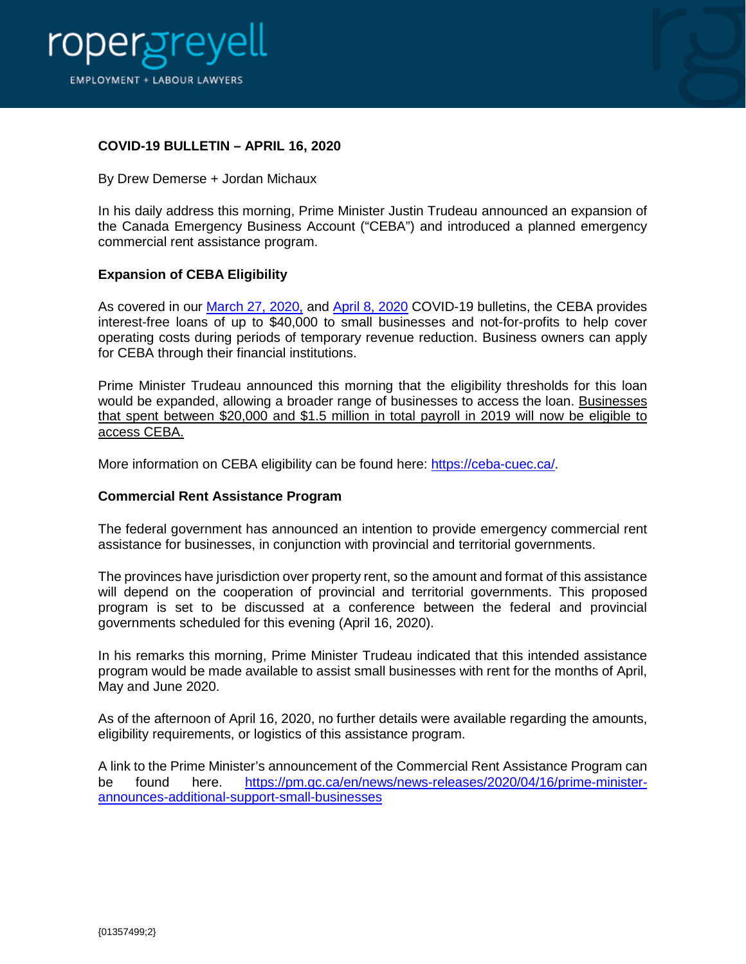



## **COVID-19 BULLETIN – APRIL 16, 2020**

By Drew Demerse + Jordan Michaux

In his daily address this morning, Prime Minister Justin Trudeau announced an expansion of the Canada Emergency Business Account ("CEBA") and introduced a planned emergency commercial rent assistance program.

## **Expansion of CEBA Eligibility**

As covered in our [March 27, 2020,](https://ropergreyell.com/wp-content/uploads/2020/03/COVID-19-update-2020-03-27-01344156-3xC0FD8.pdf) and [April 8, 2020](https://ropergreyell.com/wp-content/uploads/2020/04/COVID-19-Update-April-8.-2020-01353835-4xC0FD8.pdf) COVID-19 bulletins, the CEBA provides interest-free loans of up to \$40,000 to small businesses and not-for-profits to help cover operating costs during periods of temporary revenue reduction. Business owners can apply for CEBA through their financial institutions.

Prime Minister Trudeau announced this morning that the eligibility thresholds for this loan would be expanded, allowing a broader range of businesses to access the loan. Businesses that spent between \$20,000 and \$1.5 million in total payroll in 2019 will now be eligible to access CEBA.

More information on CEBA eligibility can be found here: [https://ceba-cuec.ca/.](https://ceba-cuec.ca/)

## **Commercial Rent Assistance Program**

The federal government has announced an intention to provide emergency commercial rent assistance for businesses, in conjunction with provincial and territorial governments.

The provinces have jurisdiction over property rent, so the amount and format of this assistance will depend on the cooperation of provincial and territorial governments. This proposed program is set to be discussed at a conference between the federal and provincial governments scheduled for this evening (April 16, 2020).

In his remarks this morning, Prime Minister Trudeau indicated that this intended assistance program would be made available to assist small businesses with rent for the months of April, May and June 2020.

As of the afternoon of April 16, 2020, no further details were available regarding the amounts, eligibility requirements, or logistics of this assistance program.

A link to the Prime Minister's announcement of the Commercial Rent Assistance Program can be found here. [https://pm.gc.ca/en/news/news-releases/2020/04/16/prime-minister](https://pm.gc.ca/en/news/news-releases/2020/04/16/prime-minister-announces-additional-support-small-businesses)[announces-additional-support-small-businesses](https://pm.gc.ca/en/news/news-releases/2020/04/16/prime-minister-announces-additional-support-small-businesses)